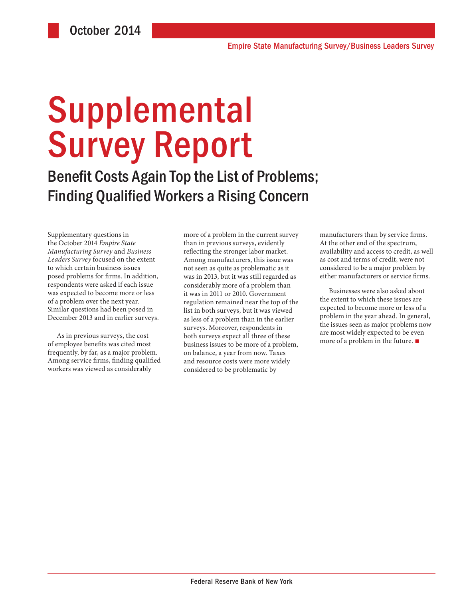# **Supplemental** Survey Report

Benefit Costs Again Top the List of Problems; Finding Qualified Workers a Rising Concern

Supplementary questions in the October 2014 *Empire State Manufacturing Survey* and *Business Leaders Survey* focused on the extent to which certain business issues posed problems for firms. In addition, respondents were asked if each issue was expected to become more or less of a problem over the next year. Similar questions had been posed in December 2013 and in earlier surveys.

As in previous surveys, the cost of employee benefits was cited most frequently, by far, as a major problem. Among service firms, finding qualified workers was viewed as considerably

more of a problem in the current survey than in previous surveys, evidently reflecting the stronger labor market. Among manufacturers, this issue was not seen as quite as problematic as it was in 2013, but it was still regarded as considerably more of a problem than it was in 2011 or 2010. Government regulation remained near the top of the list in both surveys, but it was viewed as less of a problem than in the earlier surveys. Moreover, respondents in both surveys expect all three of these business issues to be more of a problem, on balance, a year from now. Taxes and resource costs were more widely considered to be problematic by

manufacturers than by service firms. At the other end of the spectrum, availability and access to credit, as well as cost and terms of credit, were not considered to be a major problem by either manufacturers or service firms.

Businesses were also asked about the extent to which these issues are expected to become more or less of a problem in the year ahead. In general, the issues seen as major problems now are most widely expected to be even more of a problem in the future.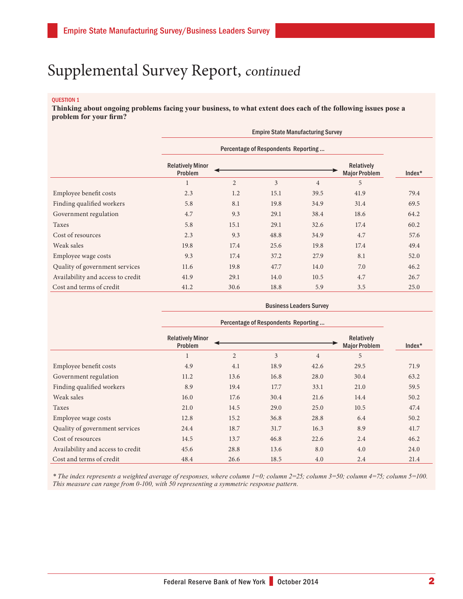#### QUESTION 1

**Thinking about ongoing problems facing your business, to what extent does each of the following issues pose a problem for your firm?**

|                                   | <b>Empire State Manufacturing Survey</b> |                |                |                |                                           |        |
|-----------------------------------|------------------------------------------|----------------|----------------|----------------|-------------------------------------------|--------|
|                                   | Percentage of Respondents Reporting      |                |                |                |                                           |        |
|                                   | <b>Relatively Minor</b><br>Problem       |                |                |                | <b>Relatively</b><br><b>Major Problem</b> | Index* |
|                                   |                                          | $\overline{2}$ | $\overline{3}$ | $\overline{4}$ | 5                                         |        |
| Employee benefit costs            | 2.3                                      | 1.2            | 15.1           | 39.5           | 41.9                                      | 79.4   |
| Finding qualified workers         | 5.8                                      | 8.1            | 19.8           | 34.9           | 31.4                                      | 69.5   |
| Government regulation             | 4.7                                      | 9.3            | 29.1           | 38.4           | 18.6                                      | 64.2   |
| Taxes                             | 5.8                                      | 15.1           | 29.1           | 32.6           | 17.4                                      | 60.2   |
| Cost of resources                 | 2.3                                      | 9.3            | 48.8           | 34.9           | 4.7                                       | 57.6   |
| Weak sales                        | 19.8                                     | 17.4           | 25.6           | 19.8           | 17.4                                      | 49.4   |
| Employee wage costs               | 9.3                                      | 17.4           | 37.2           | 27.9           | 8.1                                       | 52.0   |
| Quality of government services    | 11.6                                     | 19.8           | 47.7           | 14.0           | 7.0                                       | 46.2   |
| Availability and access to credit | 41.9                                     | 29.1           | 14.0           | 10.5           | 4.7                                       | 26.7   |
| Cost and terms of credit          | 41.2                                     | 30.6           | 18.8           | 5.9            | 3.5                                       | 25.0   |

|                                   | <b>Business Leaders Survey</b>      |                |      |                |                                           |          |
|-----------------------------------|-------------------------------------|----------------|------|----------------|-------------------------------------------|----------|
|                                   | Percentage of Respondents Reporting |                |      |                |                                           |          |
|                                   | <b>Relatively Minor</b><br>Problem  |                |      |                | <b>Relatively</b><br><b>Major Problem</b> | $Index*$ |
|                                   |                                     | $\overline{2}$ | 3    | $\overline{4}$ | 5                                         |          |
| Employee benefit costs            | 4.9                                 | 4.1            | 18.9 | 42.6           | 29.5                                      | 71.9     |
| Government regulation             | 11.2                                | 13.6           | 16.8 | 28.0           | 30.4                                      | 63.2     |
| Finding qualified workers         | 8.9                                 | 19.4           | 17.7 | 33.1           | 21.0                                      | 59.5     |
| Weak sales                        | 16.0                                | 17.6           | 30.4 | 21.6           | 14.4                                      | 50.2     |
| Taxes                             | 21.0                                | 14.5           | 29.0 | 25.0           | 10.5                                      | 47.4     |
| Employee wage costs               | 12.8                                | 15.2           | 36.8 | 28.8           | 6.4                                       | 50.2     |
| Quality of government services    | 24.4                                | 18.7           | 31.7 | 16.3           | 8.9                                       | 41.7     |
| Cost of resources                 | 14.5                                | 13.7           | 46.8 | 22.6           | 2.4                                       | 46.2     |
| Availability and access to credit | 45.6                                | 28.8           | 13.6 | 8.0            | 4.0                                       | 24.0     |
| Cost and terms of credit          | 48.4                                | 26.6           | 18.5 | 4.0            | 2.4                                       | 21.4     |

*\* The index represents a weighted average of responses, where column 1=0; column 2=25; column 3=50; column 4=75; column 5=100. This measure can range from 0-100, with 50 representing a symmetric response pattern.*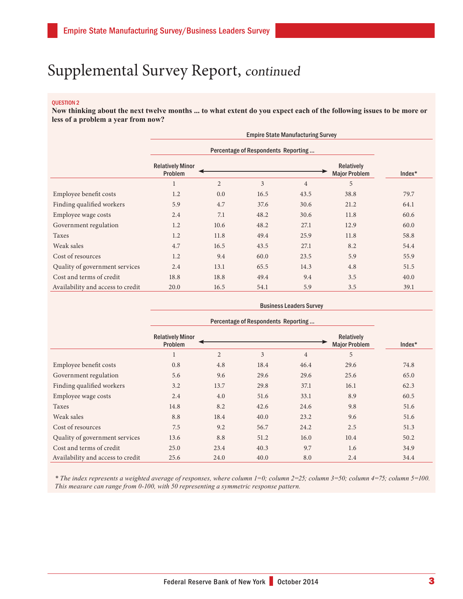#### QUESTION 2

**Now thinking about the next twelve months ... to what extent do you expect each of the following issues to be more or less of a problem a year from now?**

|                                   | <b>Empire State Manufacturing Survey</b> |                |      |                |                                    |          |
|-----------------------------------|------------------------------------------|----------------|------|----------------|------------------------------------|----------|
|                                   | Percentage of Respondents Reporting      |                |      |                |                                    |          |
|                                   | <b>Relatively Minor</b><br>Problem       |                |      |                | Relatively<br><b>Major Problem</b> | $Index*$ |
|                                   | $\mathbf{1}$                             | $\overline{2}$ | 3    | $\overline{4}$ | 5                                  |          |
| Employee benefit costs            | 1.2                                      | 0.0            | 16.5 | 43.5           | 38.8                               | 79.7     |
| Finding qualified workers         | 5.9                                      | 4.7            | 37.6 | 30.6           | 21.2                               | 64.1     |
| Employee wage costs               | 2.4                                      | 7.1            | 48.2 | 30.6           | 11.8                               | 60.6     |
| Government regulation             | 1.2                                      | 10.6           | 48.2 | 27.1           | 12.9                               | 60.0     |
| Taxes                             | 1.2                                      | 11.8           | 49.4 | 25.9           | 11.8                               | 58.8     |
| Weak sales                        | 4.7                                      | 16.5           | 43.5 | 27.1           | 8.2                                | 54.4     |
| Cost of resources                 | 1.2                                      | 9.4            | 60.0 | 23.5           | 5.9                                | 55.9     |
| Quality of government services    | 2.4                                      | 13.1           | 65.5 | 14.3           | 4.8                                | 51.5     |
| Cost and terms of credit          | 18.8                                     | 18.8           | 49.4 | 9.4            | 3.5                                | 40.0     |
| Availability and access to credit | 20.0                                     | 16.5           | 54.1 | 5.9            | 3.5                                | 39.1     |

|                                   | <b>Business Leaders Survey</b>      |                |      |                |                                    |          |
|-----------------------------------|-------------------------------------|----------------|------|----------------|------------------------------------|----------|
|                                   | Percentage of Respondents Reporting |                |      |                |                                    |          |
|                                   | <b>Relatively Minor</b><br>Problem  |                |      |                | Relatively<br><b>Major Problem</b> | $Index*$ |
|                                   |                                     | $\overline{2}$ | 3    | $\overline{4}$ | 5                                  |          |
| Employee benefit costs            | 0.8                                 | 4.8            | 18.4 | 46.4           | 29.6                               | 74.8     |
| Government regulation             | 5.6                                 | 9.6            | 29.6 | 29.6           | 25.6                               | 65.0     |
| Finding qualified workers         | 3.2                                 | 13.7           | 29.8 | 37.1           | 16.1                               | 62.3     |
| Employee wage costs               | 2.4                                 | 4.0            | 51.6 | 33.1           | 8.9                                | 60.5     |
| Taxes                             | 14.8                                | 8.2            | 42.6 | 24.6           | 9.8                                | 51.6     |
| Weak sales                        | 8.8                                 | 18.4           | 40.0 | 23.2           | 9.6                                | 51.6     |
| Cost of resources                 | 7.5                                 | 9.2            | 56.7 | 24.2           | 2.5                                | 51.3     |
| Quality of government services    | 13.6                                | 8.8            | 51.2 | 16.0           | 10.4                               | 50.2     |
| Cost and terms of credit          | 25.0                                | 23.4           | 40.3 | 9.7            | 1.6                                | 34.9     |
| Availability and access to credit | 25.6                                | 24.0           | 40.0 | 8.0            | 2.4                                | 34.4     |

*\* The index represents a weighted average of responses, where column 1=0; column 2=25; column 3=50; column 4=75; column 5=100. This measure can range from 0-100, with 50 representing a symmetric response pattern.*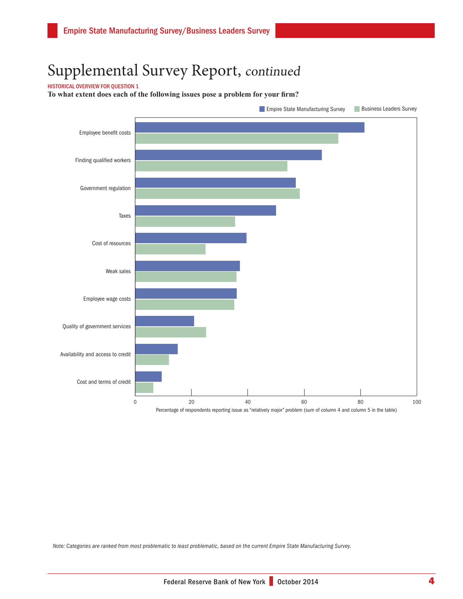#### HISTORICAL OVERVIEW FOR QUESTION 1

**To what extent does each of the following issues pose a problem for your firm?** 



*Note: Categories are ranked from most problematic to least problematic, based on the current Empire State Manufacturing Survey.*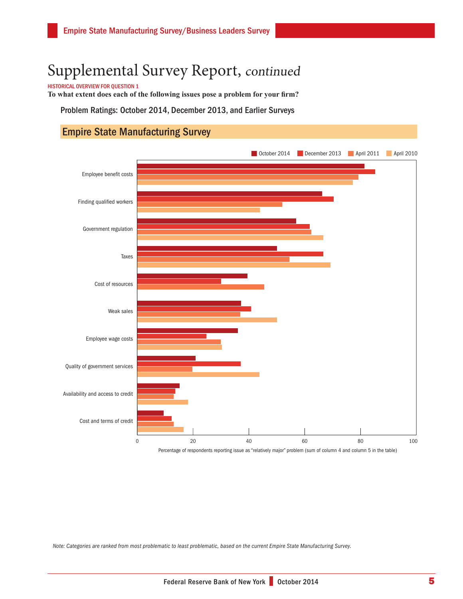HISTORICAL OVERVIEW FOR QUESTION 1

**To what extent does each of the following issues pose a problem for your firm?** 

Problem Ratings: October 2014, December 2013, and Earlier Surveys

### Empire State Manufacturing Survey



Percentage of respondents reporting issue as "relatively major" problem (sum of column 4 and column 5 in the table)

*Note: Categories are ranked from most problematic to least problematic, based on the current Empire State Manufacturing Survey.*